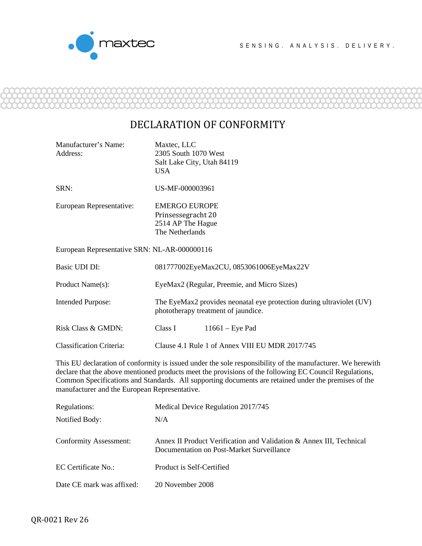

Manufacturer's Name: Maxtec, LLC

## DECLARATION OF CONFORMITY

| Address:                                                                                                                                                                                                                                                                                                                                                                      | 2305 South 1070 West<br>Salt Lake City, Utah 84119<br><b>USA</b>                                                 |  |  |  |
|-------------------------------------------------------------------------------------------------------------------------------------------------------------------------------------------------------------------------------------------------------------------------------------------------------------------------------------------------------------------------------|------------------------------------------------------------------------------------------------------------------|--|--|--|
| SRN:                                                                                                                                                                                                                                                                                                                                                                          | US-MF-000003961                                                                                                  |  |  |  |
| European Representative:                                                                                                                                                                                                                                                                                                                                                      | <b>EMERGO EUROPE</b><br>Prinsessegracht 20<br>2514 AP The Hague<br>The Netherlands                               |  |  |  |
| European Representative SRN: NL-AR-000000116                                                                                                                                                                                                                                                                                                                                  |                                                                                                                  |  |  |  |
| Basic UDI DI:                                                                                                                                                                                                                                                                                                                                                                 | 081777002EyeMax2CU, 0853061006EyeMax22V                                                                          |  |  |  |
| Product Name(s):                                                                                                                                                                                                                                                                                                                                                              | EyeMax2 (Regular, Preemie, and Micro Sizes)                                                                      |  |  |  |
| <b>Intended Purpose:</b>                                                                                                                                                                                                                                                                                                                                                      | The EyeMax2 provides neonatal eye protection during ultraviolet (UV)<br>phototherapy treatment of jaundice.      |  |  |  |
| Risk Class & GMDN:                                                                                                                                                                                                                                                                                                                                                            | Class I<br>$11661$ – Eye Pad                                                                                     |  |  |  |
| <b>Classification Criteria:</b>                                                                                                                                                                                                                                                                                                                                               | Clause 4.1 Rule 1 of Annex VIII EU MDR 2017/745                                                                  |  |  |  |
| This EU declaration of conformity is issued under the sole responsibility of the manufacturer. We herewith<br>declare that the above mentioned products meet the provisions of the following EC Council Regulations,<br>Common Specifications and Standards. All supporting documents are retained under the premises of the<br>manufacturer and the European Representative. |                                                                                                                  |  |  |  |
| Regulations:                                                                                                                                                                                                                                                                                                                                                                  | Medical Device Regulation 2017/745                                                                               |  |  |  |
| Notified Body:                                                                                                                                                                                                                                                                                                                                                                | N/A                                                                                                              |  |  |  |
| <b>Conformity Assessment:</b>                                                                                                                                                                                                                                                                                                                                                 | Annex II Product Verification and Validation & Annex III, Technical<br>Documentation on Post-Market Surveillance |  |  |  |
| EC Certificate No.:                                                                                                                                                                                                                                                                                                                                                           | Product is Self-Certified                                                                                        |  |  |  |
| Date CE mark was affixed:                                                                                                                                                                                                                                                                                                                                                     | 20 November 2008                                                                                                 |  |  |  |